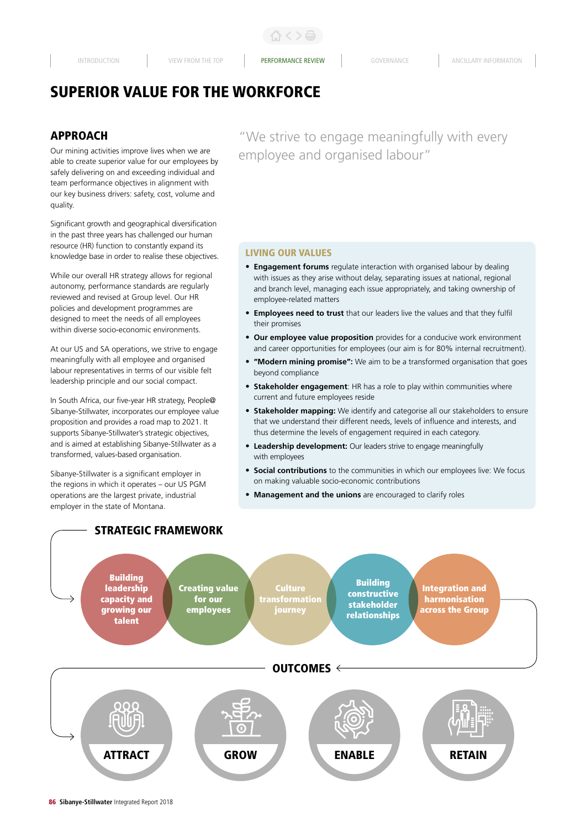# SUPERIOR VALUE FOR THE WORKFORCE

# APPROACH

Our mining activities improve lives when we are able to create superior value for our employees by safely delivering on and exceeding individual and team performance objectives in alignment with our key business drivers: safety, cost, volume and quality.

Significant growth and geographical diversification in the past three years has challenged our human resource (HR) function to constantly expand its knowledge base in order to realise these objectives.

While our overall HR strategy allows for regional autonomy, performance standards are regularly reviewed and revised at Group level. Our HR policies and development programmes are designed to meet the needs of all employees within diverse socio-economic environments.

At our US and SA operations, we strive to engage meaningfully with all employee and organised labour representatives in terms of our visible felt leadership principle and our social compact.

In South Africa, our five-year HR strategy, People@ Sibanye-Stillwater, incorporates our employee value proposition and provides a road map to 2021. It supports Sibanye-Stillwater's strategic objectives, and is aimed at establishing Sibanye-Stillwater as a transformed, values-based organisation.

Sibanye-Stillwater is a significant employer in the regions in which it operates – our US PGM operations are the largest private, industrial employer in the state of Montana.

STRATEGIC FRAMEWORK

"We strive to engage meaningfully with every employee and organised labour"

# LIVING OUR VALUES

- **Engagement forums** regulate interaction with organised labour by dealing with issues as they arise without delay, separating issues at national, regional and branch level, managing each issue appropriately, and taking ownership of employee-related matters
- **Employees need to trust** that our leaders live the values and that they fulfil their promises
- **Our employee value proposition** provides for a conducive work environment and career opportunities for employees (our aim is for 80% internal recruitment).
- **"Modern mining promise":** We aim to be a transformed organisation that goes beyond compliance
- **Stakeholder engagement**: HR has a role to play within communities where current and future employees reside
- **Stakeholder mapping:** We identify and categorise all our stakeholders to ensure that we understand their different needs, levels of influence and interests, and thus determine the levels of engagement required in each category.
- **Leadership development:** Our leaders strive to engage meaningfully with employees
- **Social contributions** to the communities in which our employees live: We focus on making valuable socio-economic contributions
- **Management and the unions** are encouraged to clarify roles

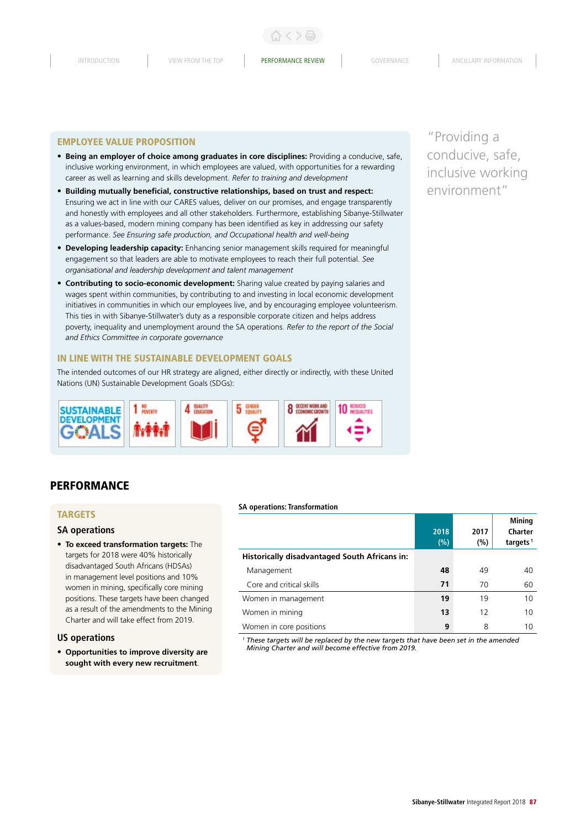#### EMPLOYEE VALUE PROPOSITION

- **Being an employer of choice among graduates in core disciplines:** Providing a conducive, safe, inclusive working environment, in which employees are valued, with opportunities for a rewarding career as well as learning and skills development. *Refer to training and development*
- **Building mutually beneficial, constructive relationships, based on trust and respect:** Ensuring we act in line with our CARES values, deliver on our promises, and engage transparently and honestly with employees and all other stakeholders. Furthermore, establishing Sibanye-Stillwater as a values-based, modern mining company has been identified as key in addressing our safety performance. *See Ensuring safe production, and Occupational health and well-being*
- **Developing leadership capacity:** Enhancing senior management skills required for meaningful engagement so that leaders are able to motivate employees to reach their full potential. *See organisational and leadership development and talent management*
- **Contributing to socio-economic development:** Sharing value created by paying salaries and wages spent within communities, by contributing to and investing in local economic development initiatives in communities in which our employees live, and by encouraging employee volunteerism. This ties in with Sibanye-Stillwater's duty as a responsible corporate citizen and helps address poverty, inequality and unemployment around the SA operations. *Refer to the report of the Social and Ethics Committee in corporate governance*

#### IN LINE WITH THE SUSTAINABLE DEVELOPMENT GOALS

The intended outcomes of our HR strategy are aligned, either directly or indirectly, with these United Nations (UN) Sustainable Development Goals (SDGs):



# **PERFORMANCE**

# TARGETS

#### **SA operations**

• **To exceed transformation targets:** The targets for 2018 were 40% historically disadvantaged South Africans (HDSAs) in management level positions and 10% women in mining, specifically core mining positions. These targets have been changed as a result of the amendments to the Mining Charter and will take effect from 2019.

#### **US operations**

• **Opportunities to improve diversity are sought with every new recruitment**.

#### **SA operations: Transformation**

|                                                      | 2018<br>(%) | 2017<br>(%) | Mining<br>Charter<br>targets <sup>1</sup> |
|------------------------------------------------------|-------------|-------------|-------------------------------------------|
| <b>Historically disadvantaged South Africans in:</b> |             |             |                                           |
| Management                                           | 48          | 49          | 40                                        |
| Core and critical skills                             | 71          | 70          | 60                                        |
| Women in management                                  | 19          | 19          | 10                                        |
| Women in mining                                      | 13          | 12          | 10                                        |
| Women in core positions                              | 9           | 8           | 10                                        |

*<sup>1</sup> These targets will be replaced by the new targets that have been set in the amended Mining Charter and will become effective from 2019.*

"Providing a conducive, safe, inclusive working environment"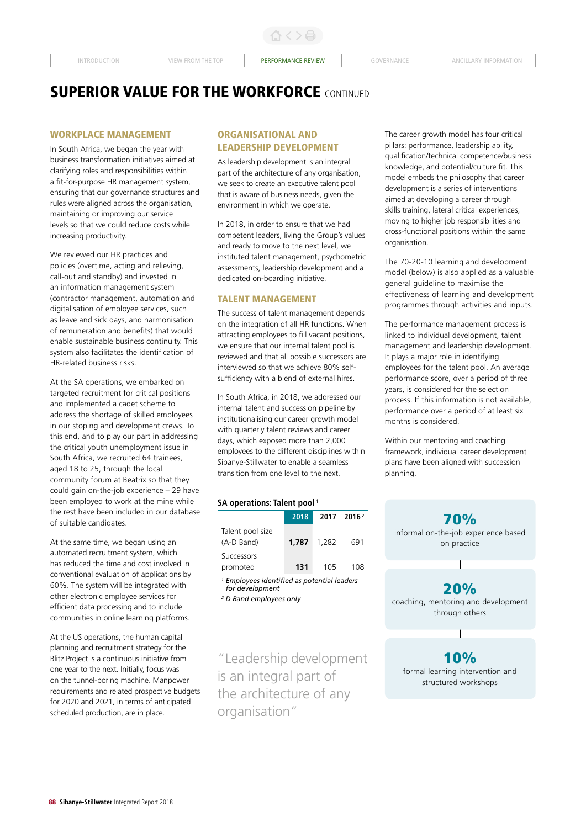# WORKPLACE MANAGEMENT

In South Africa, we began the year with business transformation initiatives aimed at clarifying roles and responsibilities within a fit-for-purpose HR management system, ensuring that our governance structures and rules were aligned across the organisation, maintaining or improving our service levels so that we could reduce costs while increasing productivity.

We reviewed our HR practices and policies (overtime, acting and relieving, call-out and standby) and invested in an information management system (contractor management, automation and digitalisation of employee services, such as leave and sick days, and harmonisation of remuneration and benefits) that would enable sustainable business continuity. This system also facilitates the identification of HR-related business risks.

At the SA operations, we embarked on targeted recruitment for critical positions and implemented a cadet scheme to address the shortage of skilled employees in our stoping and development crews. To this end, and to play our part in addressing the critical youth unemployment issue in South Africa, we recruited 64 trainees, aged 18 to 25, through the local community forum at Beatrix so that they could gain on-the-job experience – 29 have been employed to work at the mine while the rest have been included in our database of suitable candidates.

At the same time, we began using an automated recruitment system, which has reduced the time and cost involved in conventional evaluation of applications by 60%. The system will be integrated with other electronic employee services for efficient data processing and to include communities in online learning platforms.

At the US operations, the human capital planning and recruitment strategy for the Blitz Project is a continuous initiative from one year to the next. Initially, focus was on the tunnel-boring machine. Manpower requirements and related prospective budgets for 2020 and 2021, in terms of anticipated scheduled production, are in place.

# ORGANISATIONAL AND LEADERSHIP DEVELOPMENT

As leadership development is an integral part of the architecture of any organisation, we seek to create an executive talent pool that is aware of business needs, given the environment in which we operate.

In 2018, in order to ensure that we had competent leaders, living the Group's values and ready to move to the next level, we instituted talent management, psychometric assessments, leadership development and a dedicated on-boarding initiative.

### **TAI FNT MANAGEMENT**

The success of talent management depends on the integration of all HR functions. When attracting employees to fill vacant positions, we ensure that our internal talent pool is reviewed and that all possible successors are interviewed so that we achieve 80% selfsufficiency with a blend of external hires.

In South Africa, in 2018, we addressed our internal talent and succession pipeline by institutionalising our career growth model with quarterly talent reviews and career days, which exposed more than 2,000 employees to the different disciplines within Sibanye-Stillwater to enable a seamless transition from one level to the next.

#### **SA operations: Talent pool 1**

|                                | 2018  | 2017  | 2016 <sup>2</sup> |
|--------------------------------|-------|-------|-------------------|
| Talent pool size<br>(A-D Band) | 1.787 | 1.282 | 691               |
| <b>Successors</b><br>promoted  | 131   | 105   | 108               |
|                                |       |       |                   |

*<sup>1</sup> Employees identified as potential leaders for development* 

*2 D Band employees only*

"Leadership development is an integral part of the architecture of any organisation"

The career growth model has four critical pillars: performance, leadership ability, qualification/technical competence/business knowledge, and potential/culture fit. This model embeds the philosophy that career development is a series of interventions aimed at developing a career through skills training, lateral critical experiences, moving to higher job responsibilities and cross-functional positions within the same organisation.

The 70-20-10 learning and development model (below) is also applied as a valuable general guideline to maximise the effectiveness of learning and development programmes through activities and inputs.

The performance management process is linked to individual development, talent management and leadership development. It plays a major role in identifying employees for the talent pool. An average performance score, over a period of three years, is considered for the selection process. If this information is not available, performance over a period of at least six months is considered.

Within our mentoring and coaching framework, individual career development plans have been aligned with succession planning.

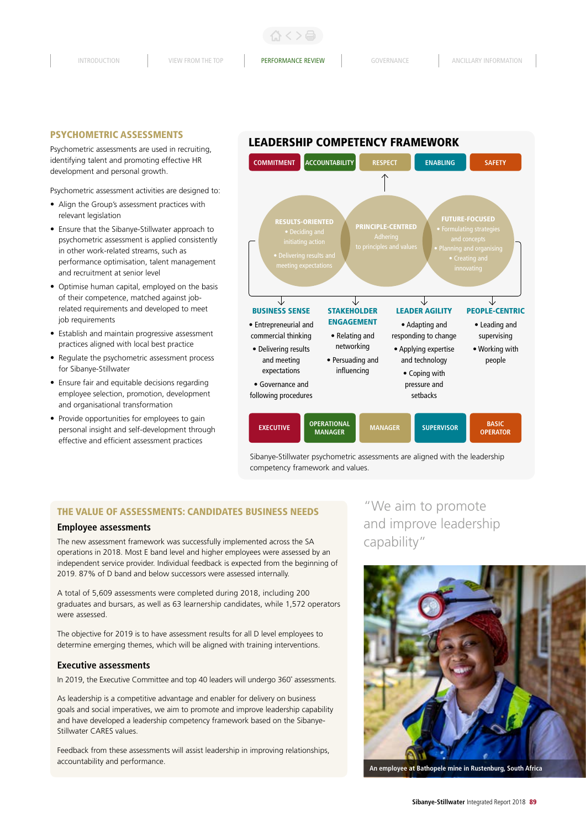#### PSYCHOMETRIC ASSESSMENTS

Psychometric assessments are used in recruiting, identifying talent and promoting effective HR development and personal growth.

Psychometric assessment activities are designed to:

- Align the Group's assessment practices with relevant legislation
- Ensure that the Sibanye-Stillwater approach to psychometric assessment is applied consistently in other work-related streams, such as performance optimisation, talent management and recruitment at senior level
- Optimise human capital, employed on the basis of their competence, matched against jobrelated requirements and developed to meet job requirements
- Establish and maintain progressive assessment practices aligned with local best practice
- Regulate the psychometric assessment process for Sibanye-Stillwater
- Ensure fair and equitable decisions regarding employee selection, promotion, development and organisational transformation
- Provide opportunities for employees to gain personal insight and self-development through effective and efficient assessment practices

# LEADERSHIP COMPETENCY FRAMEWORK



competency framework and values.

# THE VALUE OF ASSESSMENTS: CANDIDATES BUSINESS NEEDS

#### **Employee assessments**

The new assessment framework was successfully implemented across the SA operations in 2018. Most E band level and higher employees were assessed by an independent service provider. Individual feedback is expected from the beginning of 2019. 87% of D band and below successors were assessed internally.

A total of 5,609 assessments were completed during 2018, including 200 graduates and bursars, as well as 63 learnership candidates, while 1,572 operators were assessed.

The objective for 2019 is to have assessment results for all D level employees to determine emerging themes, which will be aligned with training interventions.

### **Executive assessments**

In 2019, the Executive Committee and top 40 leaders will undergo 360˚ assessments.

As leadership is a competitive advantage and enabler for delivery on business goals and social imperatives, we aim to promote and improve leadership capability and have developed a leadership competency framework based on the Sibanye-Stillwater CARES values.

Feedback from these assessments will assist leadership in improving relationships, accountability and performance.

# "We aim to promote and improve leadership capability"

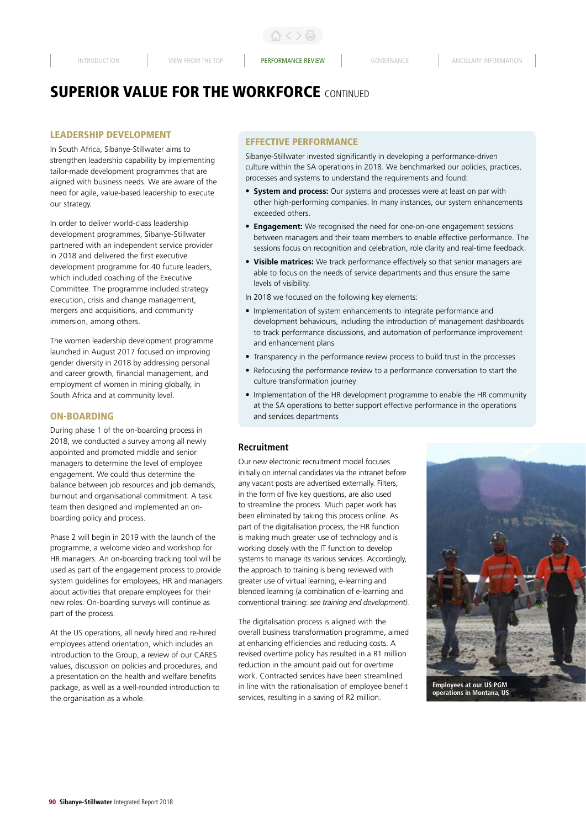# LEADERSHIP DEVELOPMENT

In South Africa, Sibanye-Stillwater aims to strengthen leadership capability by implementing tailor-made development programmes that are aligned with business needs. We are aware of the need for agile, value-based leadership to execute our strategy.

In order to deliver world-class leadership development programmes, Sibanye-Stillwater partnered with an independent service provider in 2018 and delivered the first executive development programme for 40 future leaders, which included coaching of the Executive Committee. The programme included strategy execution, crisis and change management, mergers and acquisitions, and community immersion, among others.

The women leadership development programme launched in August 2017 focused on improving gender diversity in 2018 by addressing personal and career growth, financial management, and employment of women in mining globally, in South Africa and at community level.

### ON-BOARDING

During phase 1 of the on-boarding process in 2018, we conducted a survey among all newly appointed and promoted middle and senior managers to determine the level of employee engagement. We could thus determine the balance between job resources and job demands, burnout and organisational commitment. A task team then designed and implemented an onboarding policy and process.

Phase 2 will begin in 2019 with the launch of the programme, a welcome video and workshop for HR managers. An on-boarding tracking tool will be used as part of the engagement process to provide system guidelines for employees, HR and managers about activities that prepare employees for their new roles. On-boarding surveys will continue as part of the process.

At the US operations, all newly hired and re-hired employees attend orientation, which includes an introduction to the Group, a review of our CARES values, discussion on policies and procedures, and a presentation on the health and welfare benefits package, as well as a well-rounded introduction to the organisation as a whole.

# EFFECTIVE PERFORMANCE

Sibanye-Stillwater invested significantly in developing a performance-driven culture within the SA operations in 2018. We benchmarked our policies, practices, processes and systems to understand the requirements and found:

- **System and process:** Our systems and processes were at least on par with other high-performing companies. In many instances, our system enhancements exceeded others.
- **Engagement:** We recognised the need for one-on-one engagement sessions between managers and their team members to enable effective performance. The sessions focus on recognition and celebration, role clarity and real-time feedback.
- **Visible matrices:** We track performance effectively so that senior managers are able to focus on the needs of service departments and thus ensure the same levels of visibility.
- In 2018 we focused on the following key elements:
- Implementation of system enhancements to integrate performance and development behaviours, including the introduction of management dashboards to track performance discussions, and automation of performance improvement and enhancement plans
- Transparency in the performance review process to build trust in the processes
- Refocusing the performance review to a performance conversation to start the culture transformation journey
- Implementation of the HR development programme to enable the HR community at the SA operations to better support effective performance in the operations and services departments

# **Recruitment**

Our new electronic recruitment model focuses initially on internal candidates via the intranet before any vacant posts are advertised externally. Filters, in the form of five key questions, are also used to streamline the process. Much paper work has been eliminated by taking this process online. As part of the digitalisation process, the HR function is making much greater use of technology and is working closely with the IT function to develop systems to manage its various services. Accordingly, the approach to training is being reviewed with greater use of virtual learning, e-learning and blended learning (a combination of e-learning and conventional training: *see training and development).* 

The digitalisation process is aligned with the overall business transformation programme, aimed at enhancing efficiencies and reducing costs. A revised overtime policy has resulted in a R1 million reduction in the amount paid out for overtime work. Contracted services have been streamlined in line with the rationalisation of employee benefit services, resulting in a saving of R2 million.



90 **Sibanye-Stillwater** Integrated Report 2018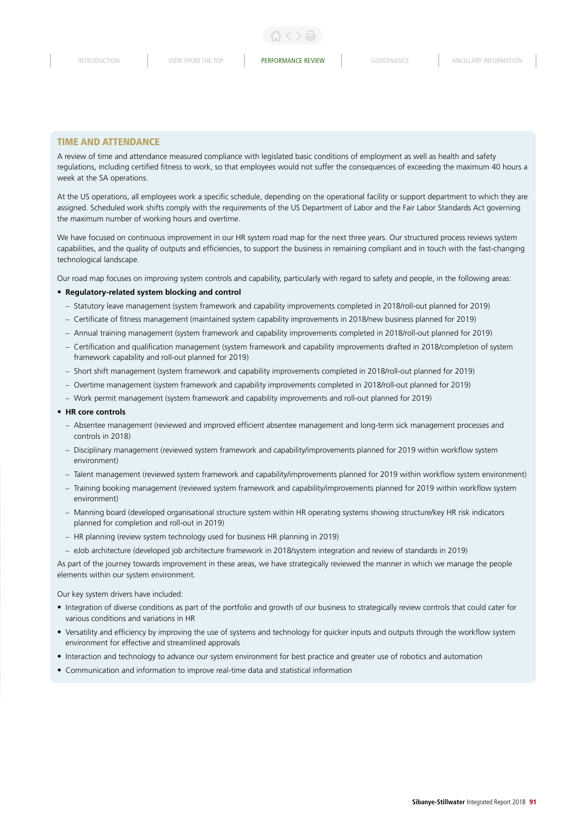#### TIME AND ATTENDANCE

A review of time and attendance measured compliance with legislated basic conditions of employment as well as health and safety regulations, including certified fitness to work, so that employees would not suffer the consequences of exceeding the maximum 40 hours a week at the SA operations.

At the US operations, all employees work a specific schedule, depending on the operational facility or support department to which they are assigned. Scheduled work shifts comply with the requirements of the US Department of Labor and the Fair Labor Standards Act governing the maximum number of working hours and overtime.

We have focused on continuous improvement in our HR system road map for the next three years. Our structured process reviews system capabilities, and the quality of outputs and efficiencies, to support the business in remaining compliant and in touch with the fast-changing technological landscape.

Our road map focuses on improving system controls and capability, particularly with regard to safety and people, in the following areas:

#### • **Regulatory-related system blocking and control**

- Statutory leave management (system framework and capability improvements completed in 2018/roll-out planned for 2019)
- Certificate of fitness management (maintained system capability improvements in 2018/new business planned for 2019)
- Annual training management (system framework and capability improvements completed in 2018/roll-out planned for 2019)
- Certification and qualification management (system framework and capability improvements drafted in 2018/completion of system framework capability and roll-out planned for 2019)
- Short shift management (system framework and capability improvements completed in 2018/roll-out planned for 2019)
- Overtime management (system framework and capability improvements completed in 2018/roll-out planned for 2019)
- Work permit management (system framework and capability improvements and roll-out planned for 2019)

#### • **HR core controls**

- Absentee management (reviewed and improved efficient absentee management and long-term sick management processes and controls in 2018)
- Disciplinary management (reviewed system framework and capability/improvements planned for 2019 within workflow system environment)
- Talent management (reviewed system framework and capability/improvements planned for 2019 within workflow system environment)
- Training booking management (reviewed system framework and capability/improvements planned for 2019 within workflow system environment)
- Manning board (developed organisational structure system within HR operating systems showing structure/key HR risk indicators planned for completion and roll-out in 2019)
- HR planning (review system technology used for business HR planning in 2019)
- eJob architecture (developed job architecture framework in 2018/system integration and review of standards in 2019)

As part of the journey towards improvement in these areas, we have strategically reviewed the manner in which we manage the people elements within our system environment.

#### Our key system drivers have included:

- Integration of diverse conditions as part of the portfolio and growth of our business to strategically review controls that could cater for various conditions and variations in HR
- Versatility and efficiency by improving the use of systems and technology for quicker inputs and outputs through the workflow system environment for effective and streamlined approvals
- Interaction and technology to advance our system environment for best practice and greater use of robotics and automation
- Communication and information to improve real-time data and statistical information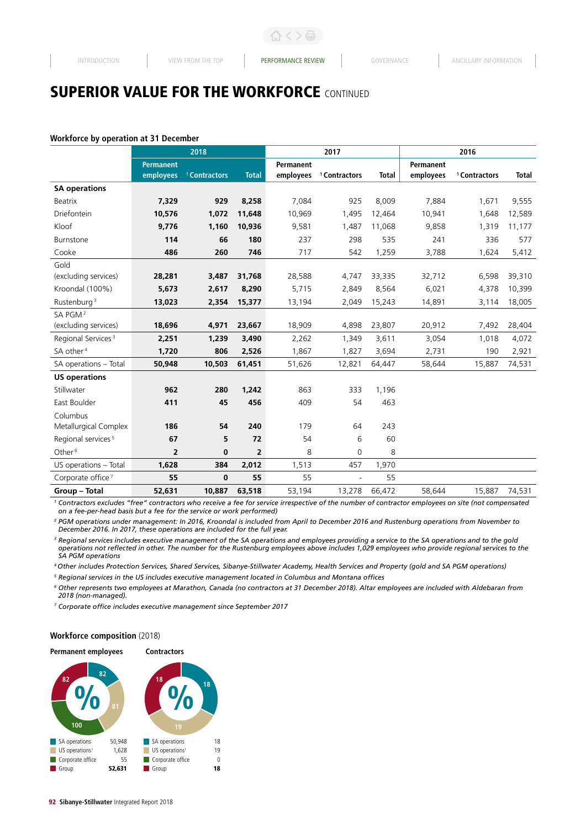#### **Workforce by operation at 31 December**

|                                |                  | 2018                     |                | 2017             |                          |              | 2016             |                          |              |
|--------------------------------|------------------|--------------------------|----------------|------------------|--------------------------|--------------|------------------|--------------------------|--------------|
|                                | <b>Permanent</b> |                          |                | <b>Permanent</b> |                          |              | <b>Permanent</b> |                          |              |
|                                | employees        | <sup>1</sup> Contractors | <b>Total</b>   | employees        | <sup>1</sup> Contractors | <b>Total</b> | employees        | <sup>1</sup> Contractors | <b>Total</b> |
| <b>SA operations</b>           |                  |                          |                |                  |                          |              |                  |                          |              |
| Beatrix                        | 7,329            | 929                      | 8,258          | 7,084            | 925                      | 8,009        | 7,884            | 1,671                    | 9,555        |
| Driefontein                    | 10,576           | 1,072                    | 11,648         | 10,969           | 1,495                    | 12,464       | 10,941           | 1,648                    | 12,589       |
| Kloof                          | 9,776            | 1,160                    | 10,936         | 9,581            | 1,487                    | 11,068       | 9,858            | 1,319                    | 11,177       |
| Burnstone                      | 114              | 66                       | 180            | 237              | 298                      | 535          | 241              | 336                      | 577          |
| Cooke                          | 486              | 260                      | 746            | 717              | 542                      | 1,259        | 3,788            | 1,624                    | 5,412        |
| Gold                           |                  |                          |                |                  |                          |              |                  |                          |              |
| (excluding services)           | 28,281           | 3,487                    | 31,768         | 28,588           | 4,747                    | 33,335       | 32,712           | 6,598                    | 39,310       |
| Kroondal (100%)                | 5,673            | 2,617                    | 8,290          | 5,715            | 2,849                    | 8,564        | 6,021            | 4,378                    | 10,399       |
| Rustenburg <sup>3</sup>        | 13,023           | 2,354                    | 15,377         | 13,194           | 2,049                    | 15,243       | 14,891           | 3,114                    | 18,005       |
| SA PGM <sup>2</sup>            |                  |                          |                |                  |                          |              |                  |                          |              |
| (excluding services)           | 18,696           | 4,971                    | 23,667         | 18,909           | 4,898                    | 23,807       | 20,912           | 7,492                    | 28,404       |
| Regional Services <sup>3</sup> | 2,251            | 1,239                    | 3,490          | 2,262            | 1,349                    | 3,611        | 3,054            | 1,018                    | 4,072        |
| SA other <sup>4</sup>          | 1,720            | 806                      | 2,526          | 1,867            | 1,827                    | 3,694        | 2,731            | 190                      | 2,921        |
| SA operations - Total          | 50,948           | 10,503                   | 61,451         | 51,626           | 12,821                   | 64,447       | 58,644           | 15,887                   | 74,531       |
| <b>US operations</b>           |                  |                          |                |                  |                          |              |                  |                          |              |
| Stillwater                     | 962              | 280                      | 1,242          | 863              | 333                      | 1,196        |                  |                          |              |
| East Boulder                   | 411              | 45                       | 456            | 409              | 54                       | 463          |                  |                          |              |
| Columbus                       |                  |                          |                |                  |                          |              |                  |                          |              |
| Metallurgical Complex          | 186              | 54                       | 240            | 179              | 64                       | 243          |                  |                          |              |
| Regional services <sup>5</sup> | 67               | 5                        | 72             | 54               | 6                        | 60           |                  |                          |              |
| Other <sup>6</sup>             | 2                | 0                        | $\overline{2}$ | 8                | 0                        | 8            |                  |                          |              |
| US operations - Total          | 1,628            | 384                      | 2,012          | 1,513            | 457                      | 1,970        |                  |                          |              |
| Corporate office <sup>7</sup>  | 55               | $\mathbf 0$              | 55             | 55               | $\overline{a}$           | 55           |                  |                          |              |
| Group - Total                  | 52,631           | 10,887                   | 63,518         | 53.194           | 13,278                   | 66,472       | 58.644           | 15,887                   | 74,531       |

<sup>1</sup> Contractors excludes "free" contractors who receive a fee for service irrespective of the number of contractor employees on site (not compensated *on a fee-per-head basis but a fee for the service or work performed)*

*<sup>2</sup> PGM operations under management: In 2016, Kroondal is included from April to December 2016 and Rustenburg operations from November to December 2016. In 2017, these operations are included for the full year.*

*<sup>3</sup> Regional services includes executive management of the SA operations and employees providing a service to the SA operations and to the gold operations not reflected in other. The number for the Rustenburg employees above includes 1,029 employees who provide regional services to the SA PGM operations*

*4 Other includes Protection Services, Shared Services, Sibanye-Stillwater Academy, Health Services and Property (gold and SA PGM operations)*

*5 Regional services in the US includes executive management located in Columbus and Montana offices*

*<sup>6</sup> Other represents two employees at Marathon, Canada (no contractors at 31 December 2018). Altar employees are included with Aldebaran from 2018 (non-managed).*

*7 Corporate office includes executive management since September 2017*

#### **Workforce composition** (2018)

#### **Contractors Permanent employees**

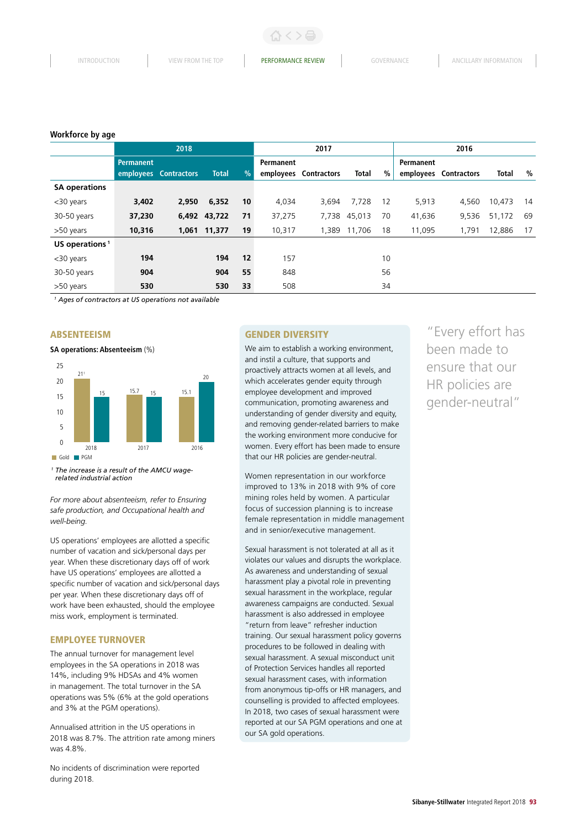INTRODUCTION VIEW FROM THE TOP **PERFORMANCE REVIEW** GOVERNANCE ANCILLARY INFORMATION

#### **Workforce by age**

|                            | 2018      |                       |              | 2017          |                  |                    | 2016         |    |                  |                    |              |    |
|----------------------------|-----------|-----------------------|--------------|---------------|------------------|--------------------|--------------|----|------------------|--------------------|--------------|----|
|                            | Permanent |                       |              |               | <b>Permanent</b> |                    |              |    | <b>Permanent</b> |                    |              |    |
|                            |           | employees Contractors | <b>Total</b> | $\frac{9}{6}$ | employees        | <b>Contractors</b> | Total        | %  | employees        | <b>Contractors</b> | <b>Total</b> | %  |
| <b>SA operations</b>       |           |                       |              |               |                  |                    |              |    |                  |                    |              |    |
| <30 years                  | 3,402     | 2,950                 | 6,352        | 10            | 4,034            | 3,694              | 7,728        | 12 | 5,913            | 4,560              | 10,473       | 14 |
| 30-50 years                | 37,230    |                       | 6,492 43,722 | 71            | 37,275           |                    | 7,738 45,013 | 70 | 41,636           | 9,536              | 51,172       | 69 |
| >50 years                  | 10,316    |                       | 1,061 11,377 | 19            | 10,317           |                    | 1,389 11,706 | 18 | 11,095           | 1,791              | 12,886       | 17 |
| US operations <sup>1</sup> |           |                       |              |               |                  |                    |              |    |                  |                    |              |    |
| <30 years                  | 194       |                       | 194          | 12            | 157              |                    |              | 10 |                  |                    |              |    |
| 30-50 years                | 904       |                       | 904          | 55            | 848              |                    |              | 56 |                  |                    |              |    |
| >50 years                  | 530       |                       | 530          | 33            | 508              |                    |              | 34 |                  |                    |              |    |

*1 Ages of contractors at US operations not available*

#### **ABSENTEEISM**

**SA operations: Absenteeism** (%)



*<sup>1</sup> The increase is a result of the AMCU wagerelated industrial action*

*For more about absenteeism, refer to Ensuring safe production, and Occupational health and well-being.*

US operations' employees are allotted a specific number of vacation and sick/personal days per year. When these discretionary days off of work have US operations' employees are allotted a specific number of vacation and sick/personal days per year. When these discretionary days off of work have been exhausted, should the employee miss work, employment is terminated.

# EMPLOYEE TURNOVER

The annual turnover for management level employees in the SA operations in 2018 was 14%, including 9% HDSAs and 4% women in management. The total turnover in the SA operations was 5% (6% at the gold operations and 3% at the PGM operations).

Annualised attrition in the US operations in 2018 was 8.7%. The attrition rate among miners was 4.8%.

No incidents of discrimination were reported during 2018.

#### GENDER DIVERSITY

We aim to establish a working environment, and instil a culture, that supports and proactively attracts women at all levels, and which accelerates gender equity through employee development and improved communication, promoting awareness and understanding of gender diversity and equity, and removing gender-related barriers to make the working environment more conducive for women. Every effort has been made to ensure that our HR policies are gender-neutral.

Women representation in our workforce improved to 13% in 2018 with 9% of core mining roles held by women. A particular focus of succession planning is to increase female representation in middle management and in senior/executive management.

Sexual harassment is not tolerated at all as it violates our values and disrupts the workplace. As awareness and understanding of sexual harassment play a pivotal role in preventing sexual harassment in the workplace, regular awareness campaigns are conducted. Sexual harassment is also addressed in employee "return from leave" refresher induction training. Our sexual harassment policy governs procedures to be followed in dealing with sexual harassment. A sexual misconduct unit of Protection Services handles all reported sexual harassment cases, with information from anonymous tip-offs or HR managers, and counselling is provided to affected employees. In 2018, two cases of sexual harassment were reported at our SA PGM operations and one at our SA gold operations.

"Every effort has been made to ensure that our HR policies are gender-neutral"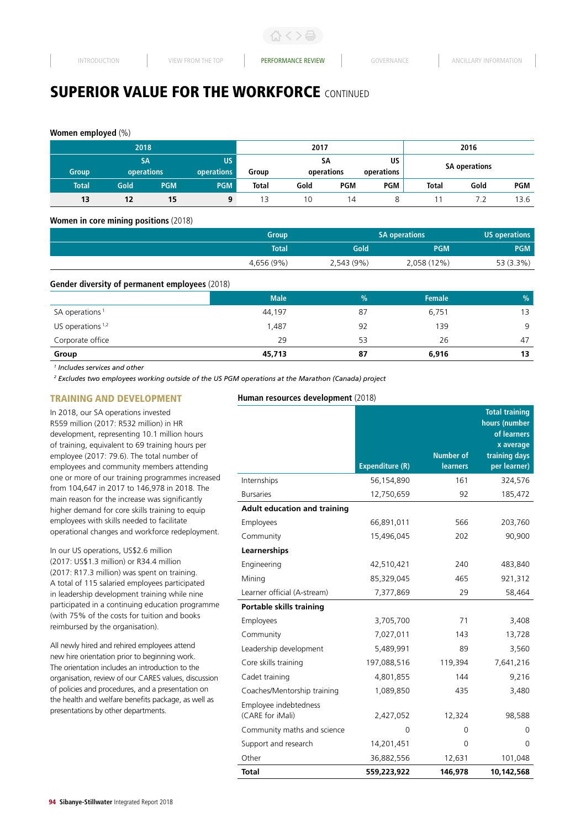# **Women employed** (%)

|              | 2018                    |            |                  | 2017         |                                             |            |            | 2016                 |      |            |
|--------------|-------------------------|------------|------------------|--------------|---------------------------------------------|------------|------------|----------------------|------|------------|
| <b>Group</b> | <b>SA</b><br>operations |            | US<br>operations | Group        | US<br><b>SA</b><br>operations<br>operations |            |            | <b>SA operations</b> |      |            |
| Total        | Gold                    | <b>PGM</b> | <b>PGM</b>       | <b>Total</b> | Gold                                        | <b>PGM</b> | <b>PGM</b> | <b>Total</b>         | Gold | <b>PGM</b> |
| 13           | 12                      | 15         | 9                |              | 10                                          | 14         |            |                      |      | 13.6       |

#### **Women in core mining positions** (2018)

| <b>Group</b> | <b>SA operations</b> |             | <b>US operations</b> |
|--------------|----------------------|-------------|----------------------|
| <b>Total</b> | Gold                 | <b>PGM</b>  | <b>PGM</b>           |
| 4,656 (9%)   | 2,543 (9%)           | 2,058 (12%) | 53 (3.3%)            |

#### **Gender diversity of permanent employees** (2018)

|                            | <b>Male</b> | $\frac{9}{6}$ | <b>Female</b> | $\%$ |
|----------------------------|-------------|---------------|---------------|------|
| SA operations <sup>1</sup> | 44,197      | 87            | 6,751         | 13   |
| US operations $1,2$        | 1,487       | 92            | 139           | 9    |
| Corporate office           | 29          | 53            | 26            | 47   |
| Group                      | 45,713      | 87            | 6,916         | 13   |

*1 Includes services and other*

*2 Excludes two employees working outside of the US PGM operations at the Marathon (Canada) project*

# TRAINING AND DEVELOPMENT

# **Human resources development** (2018)

| In 2018, our SA operations invested              |
|--------------------------------------------------|
| R559 million (2017: R532 million) in HR          |
| development, representing 10.1 million hours     |
| of training, equivalent to 69 training hours per |
| employee (2017: 79.6). The total number of       |
| employees and community members attending        |
| one or more of our training programmes increased |
| from 104,647 in 2017 to 146,978 in 2018. The     |
| main reason for the increase was significantly   |
| higher demand for core skills training to equip  |
| employees with skills needed to facilitate       |
| operational changes and workforce redeployment.  |
|                                                  |

In our US operations, US\$2.6 million (2017: US\$1.3 million) or R34.4 million (2017: R17.3 million) was spent on training. A total of 115 salaried employees participated in leadership development training while nine participated in a continuing education programme (with 75% of the costs for tuition and books reimbursed by the organisation).

All newly hired and rehired employees attend new hire orientation prior to beginning work. The orientation includes an introduction to the organisation, review of our CARES values, discussion of policies and procedures, and a presentation on the health and welfare benefits package, as well as presentations by other departments.

|                                           |                        |                                     | <b>Total training</b><br>hours (number<br>of learners<br>x average |
|-------------------------------------------|------------------------|-------------------------------------|--------------------------------------------------------------------|
|                                           | <b>Expenditure (R)</b> | <b>Number of</b><br><b>learners</b> | training days<br>per learner)                                      |
| Internships                               | 56,154,890             | 161                                 | 324,576                                                            |
| <b>Bursaries</b>                          | 12,750,659             | 92                                  | 185,472                                                            |
| <b>Adult education and training</b>       |                        |                                     |                                                                    |
| Employees                                 | 66,891,011             | 566                                 | 203,760                                                            |
| Community                                 | 15,496,045             | 202                                 | 90,900                                                             |
| Learnerships                              |                        |                                     |                                                                    |
| Engineering                               | 42,510,421             | 240                                 | 483,840                                                            |
| Mining                                    | 85,329,045             | 465                                 | 921,312                                                            |
| Learner official (A-stream)               | 7,377,869              | 29                                  | 58,464                                                             |
| Portable skills training                  |                        |                                     |                                                                    |
| Employees                                 | 3,705,700              | 71                                  | 3,408                                                              |
| Community                                 | 7,027,011              | 143                                 | 13,728                                                             |
| Leadership development                    | 5,489,991              | 89                                  | 3,560                                                              |
| Core skills training                      | 197,088,516            | 119,394                             | 7,641,216                                                          |
| Cadet training                            | 4,801,855              | 144                                 | 9,216                                                              |
| Coaches/Mentorship training               | 1,089,850              | 435                                 | 3,480                                                              |
| Employee indebtedness<br>(CARE for iMali) | 2,427,052              | 12,324                              | 98,588                                                             |
| Community maths and science               | 0                      | 0                                   | 0                                                                  |
| Support and research                      | 14,201,451             | 0                                   | $\Omega$                                                           |
| Other                                     | 36,882,556             | 12,631                              | 101,048                                                            |
| <b>Total</b>                              | 559,223,922            | 146,978                             | 10,142,568                                                         |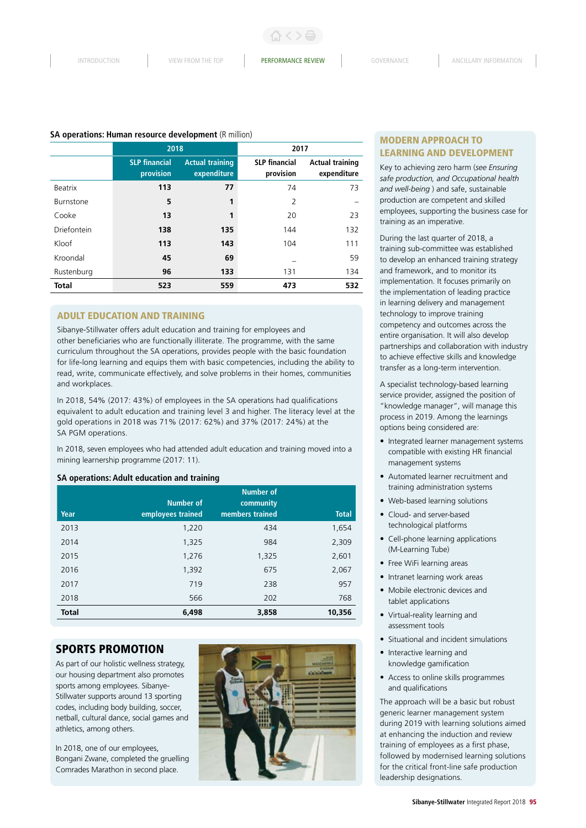#### **SA operations: Human resource development** (R million)

|                  | 2018                              |                                       | 2017                              |                                       |
|------------------|-----------------------------------|---------------------------------------|-----------------------------------|---------------------------------------|
|                  | <b>SLP financial</b><br>provision | <b>Actual training</b><br>expenditure | <b>SLP</b> financial<br>provision | <b>Actual training</b><br>expenditure |
| <b>Beatrix</b>   | 113                               | 77                                    | 74                                | 73                                    |
| <b>Burnstone</b> | 5                                 | 1                                     | 2                                 |                                       |
| Cooke            | 13                                | 1                                     | 20                                | 23                                    |
| Driefontein      | 138                               | 135                                   | 144                               | 132                                   |
| Kloof            | 113                               | 143                                   | 104                               | 111                                   |
| Kroondal         | 45                                | 69                                    |                                   | 59                                    |
| Rustenburg       | 96                                | 133                                   | 131                               | 134                                   |
| <b>Total</b>     | 523                               | 559                                   | 473                               | 532                                   |

# ADULT EDUCATION AND TRAINING

Sibanye-Stillwater offers adult education and training for employees and other beneficiaries who are functionally illiterate. The programme, with the same curriculum throughout the SA operations, provides people with the basic foundation for life-long learning and equips them with basic competencies, including the ability to read, write, communicate effectively, and solve problems in their homes, communities and workplaces.

In 2018, 54% (2017: 43%) of employees in the SA operations had qualifications equivalent to adult education and training level 3 and higher. The literacy level at the gold operations in 2018 was 71% (2017: 62%) and 37% (2017: 24%) at the SA PGM operations.

In 2018, seven employees who had attended adult education and training moved into a mining learnership programme (2017: 11).

#### **SA operations: Adult education and training**

| Year         | <b>Number of</b><br>employees trained | <b>Number of</b><br>community<br>members trained | <b>Total</b> |
|--------------|---------------------------------------|--------------------------------------------------|--------------|
| 2013         | 1,220                                 | 434                                              | 1,654        |
| 2014         | 1,325                                 | 984                                              | 2,309        |
| 2015         | 1,276                                 | 1,325                                            | 2,601        |
| 2016         | 1,392                                 | 675                                              | 2,067        |
| 2017         | 719                                   | 238                                              | 957          |
| 2018         | 566                                   | 202                                              | 768          |
| <b>Total</b> | 6,498                                 | 3,858                                            | 10,356       |

# SPORTS PROMOTION

As part of our holistic wellness strategy, our housing department also promotes sports among employees. Sibanye-Stillwater supports around 13 sporting codes, including body building, soccer, netball, cultural dance, social games and athletics, among others.

In 2018, one of our employees, Bongani Zwane, completed the gruelling Comrades Marathon in second place.



# MODERN APPROACH TO LEARNING AND DEVELOPMENT

Key to achieving zero harm (*see Ensuring safe production, and Occupational health and well-being* ) and safe, sustainable production are competent and skilled employees, supporting the business case for training as an imperative.

During the last quarter of 2018, a training sub-committee was established to develop an enhanced training strategy and framework, and to monitor its implementation. It focuses primarily on the implementation of leading practice in learning delivery and management technology to improve training competency and outcomes across the entire organisation. It will also develop partnerships and collaboration with industry to achieve effective skills and knowledge transfer as a long-term intervention.

A specialist technology-based learning service provider, assigned the position of "knowledge manager", will manage this process in 2019. Among the learnings options being considered are:

- Integrated learner management systems compatible with existing HR financial management systems
- Automated learner recruitment and training administration systems
- Web-based learning solutions
- Cloud- and server-based technological platforms
- Cell-phone learning applications (M-Learning Tube)
- Free WiFi learning areas
- Intranet learning work areas
- Mobile electronic devices and tablet applications
- Virtual-reality learning and assessment tools
- Situational and incident simulations
- Interactive learning and knowledge gamification
- Access to online skills programmes and qualifications

The approach will be a basic but robust generic learner management system during 2019 with learning solutions aimed at enhancing the induction and review training of employees as a first phase, followed by modernised learning solutions for the critical front-line safe production leadership designations.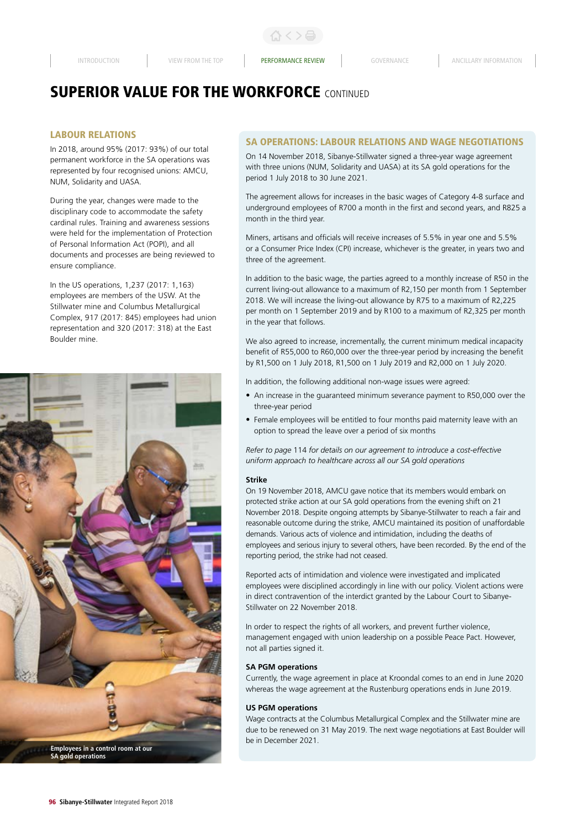# LABOUR RELATIONS

In 2018, around 95% (2017: 93%) of our total permanent workforce in the SA operations was represented by four recognised unions: AMCU, NUM, Solidarity and UASA.

During the year, changes were made to the disciplinary code to accommodate the safety cardinal rules. Training and awareness sessions were held for the implementation of Protection of Personal Information Act (POPI), and all documents and processes are being reviewed to ensure compliance.

In the US operations, 1,237 (2017: 1,163) employees are members of the USW. At the Stillwater mine and Columbus Metallurgical Complex, 917 (2017: 845) employees had union representation and 320 (2017: 318) at the East Boulder mine.



# SA OPERATIONS: LABOUR RELATIONS AND WAGE NEGOTIATIONS

On 14 November 2018, Sibanye-Stillwater signed a three-year wage agreement with three unions (NUM, Solidarity and UASA) at its SA gold operations for the period 1 July 2018 to 30 June 2021.

The agreement allows for increases in the basic wages of Category 4-8 surface and underground employees of R700 a month in the first and second years, and R825 a month in the third year.

Miners, artisans and officials will receive increases of 5.5% in year one and 5.5% or a Consumer Price Index (CPI) increase, whichever is the greater, in years two and three of the agreement.

In addition to the basic wage, the parties agreed to a monthly increase of R50 in the current living-out allowance to a maximum of R2,150 per month from 1 September 2018. We will increase the living-out allowance by R75 to a maximum of R2,225 per month on 1 September 2019 and by R100 to a maximum of R2,325 per month in the year that follows.

We also agreed to increase, incrementally, the current minimum medical incapacity benefit of R55,000 to R60,000 over the three-year period by increasing the benefit by R1,500 on 1 July 2018, R1,500 on 1 July 2019 and R2,000 on 1 July 2020.

In addition, the following additional non-wage issues were agreed:

- An increase in the guaranteed minimum severance payment to R50,000 over the three-year period
- Female employees will be entitled to four months paid maternity leave with an option to spread the leave over a period of six months

*Refer to page* 114 *for details on our agreement to introduce a cost-effective uniform approach to healthcare across all our SA gold operations*

#### **Strike**

On 19 November 2018, AMCU gave notice that its members would embark on protected strike action at our SA gold operations from the evening shift on 21 November 2018. Despite ongoing attempts by Sibanye-Stillwater to reach a fair and reasonable outcome during the strike, AMCU maintained its position of unaffordable demands. Various acts of violence and intimidation, including the deaths of employees and serious injury to several others, have been recorded. By the end of the reporting period, the strike had not ceased.

Reported acts of intimidation and violence were investigated and implicated employees were disciplined accordingly in line with our policy. Violent actions were in direct contravention of the interdict granted by the Labour Court to Sibanye-Stillwater on 22 November 2018.

In order to respect the rights of all workers, and prevent further violence, management engaged with union leadership on a possible Peace Pact. However, not all parties signed it.

#### **SA PGM operations**

Currently, the wage agreement in place at Kroondal comes to an end in June 2020 whereas the wage agreement at the Rustenburg operations ends in June 2019.

#### **US PGM operations**

Wage contracts at the Columbus Metallurgical Complex and the Stillwater mine are due to be renewed on 31 May 2019. The next wage negotiations at East Boulder will be in December 2021.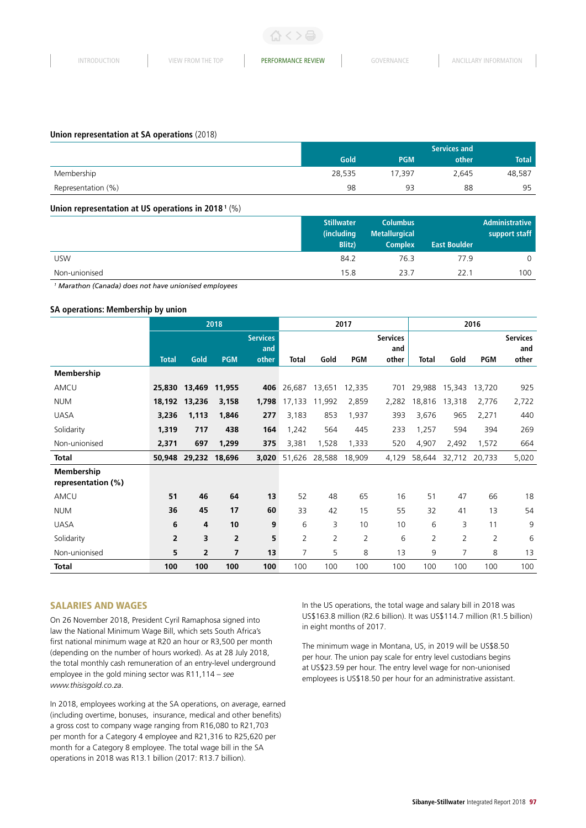# **Union representation at SA operations** (2018)

|                    | Services and |            |       |              |  |
|--------------------|--------------|------------|-------|--------------|--|
|                    | Gold         | <b>PGM</b> | other | <b>Total</b> |  |
| Membership         | 28,535       | 17.397     | 2.645 | 48,587       |  |
| Representation (%) | 98           | 93         | 88    | 95           |  |

# **Union representation at US operations in 2018 1** (%)

|               | <b>Stillwater</b><br>(including<br><b>Blitz</b> ) | <b>Columbus</b><br><b>Metallurgical</b><br><b>Complex</b> | <b>East Boulder</b> | Administrative<br>support staff |
|---------------|---------------------------------------------------|-----------------------------------------------------------|---------------------|---------------------------------|
| <b>USW</b>    | 84.2                                              | 76.3                                                      | 77.9                | 0                               |
| Non-unionised | 15.8                                              | 23.7                                                      | 22.1                | 100                             |

*<sup>1</sup> Marathon (Canada) does not have unionised employees*

# **SA operations: Membership by union**

|                                         | 2018           |        |                |                 | 2017           |                |                | 2016            |        |                |                |                 |
|-----------------------------------------|----------------|--------|----------------|-----------------|----------------|----------------|----------------|-----------------|--------|----------------|----------------|-----------------|
|                                         |                |        |                | <b>Services</b> |                |                |                | <b>Services</b> |        |                |                | <b>Services</b> |
|                                         |                |        |                | and             |                |                |                | and             |        |                |                | and             |
|                                         | <b>Total</b>   | Gold   | <b>PGM</b>     | other           | Total          | Gold           | <b>PGM</b>     | other           | Total  | Gold           | <b>PGM</b>     | other           |
| Membership                              |                |        |                |                 |                |                |                |                 |        |                |                |                 |
| AMCU                                    | 25,830         | 13,469 | 11,955         | 406             | 26,687         | 13,651         | 12,335         | 701             | 29,988 | 15,343         | 13,720         | 925             |
| <b>NUM</b>                              | 18,192         | 13,236 | 3,158          | 1,798           | 17,133         | 11,992         | 2,859          | 2,282           | 18,816 | 13,318         | 2,776          | 2,722           |
| <b>UASA</b>                             | 3,236          | 1,113  | 1,846          | 277             | 3,183          | 853            | 1,937          | 393             | 3,676  | 965            | 2,271          | 440             |
| Solidarity                              | 1,319          | 717    | 438            | 164             | 1,242          | 564            | 445            | 233             | 1,257  | 594            | 394            | 269             |
| Non-unionised                           | 2,371          | 697    | 1,299          | 375             | 3,381          | 1,528          | 1,333          | 520             | 4,907  | 2,492          | 1,572          | 664             |
| <b>Total</b>                            | 50,948         | 29,232 | 18,696         | 3,020           | 51,626         | 28,588         | 18,909         | 4,129           | 58,644 | 32,712         | 20,733         | 5,020           |
| <b>Membership</b><br>representation (%) |                |        |                |                 |                |                |                |                 |        |                |                |                 |
| AMCU                                    | 51             | 46     | 64             | 13              | 52             | 48             | 65             | 16              | 51     | 47             | 66             | 18              |
| <b>NUM</b>                              | 36             | 45     | 17             | 60              | 33             | 42             | 15             | 55              | 32     | 41             | 13             | 54              |
| <b>UASA</b>                             | 6              | 4      | 10             | 9               | 6              | 3              | 10             | 10              | 6      | 3              | 11             | 9               |
| Solidarity                              | $\overline{2}$ | 3      | $\overline{2}$ | 5               | $\overline{2}$ | $\overline{2}$ | $\overline{2}$ | 6               | 2      | $\overline{2}$ | $\overline{2}$ | 6               |
| Non-unionised                           | 5              | 2      | $\overline{7}$ | 13              | 7              | 5              | 8              | 13              | 9      | 7              | 8              | 13              |
| <b>Total</b>                            | 100            | 100    | 100            | 100             | 100            | 100            | 100            | 100             | 100    | 100            | 100            | 100             |

# SALARIES AND WAGES

On 26 November 2018, President Cyril Ramaphosa signed into law the National Minimum Wage Bill, which sets South Africa's first national minimum wage at R20 an hour or R3,500 per month (depending on the number of hours worked). As at 28 July 2018, the total monthly cash remuneration of an entry-level underground employee in the gold mining sector was R11,114 – *see www.thisisgold.co.za*.

In 2018, employees working at the SA operations, on average, earned (including overtime, bonuses, insurance, medical and other benefits) a gross cost to company wage ranging from R16,080 to R21,703 per month for a Category 4 employee and R21,316 to R25,620 per month for a Category 8 employee. The total wage bill in the SA operations in 2018 was R13.1 billion (2017: R13.7 billion).

In the US operations, the total wage and salary bill in 2018 was US\$163.8 million (R2.6 billion). It was US\$114.7 million (R1.5 billion) in eight months of 2017.

The minimum wage in Montana, US, in 2019 will be US\$8.50 per hour. The union pay scale for entry level custodians begins at US\$23.59 per hour. The entry level wage for non-unionised employees is US\$18.50 per hour for an administrative assistant.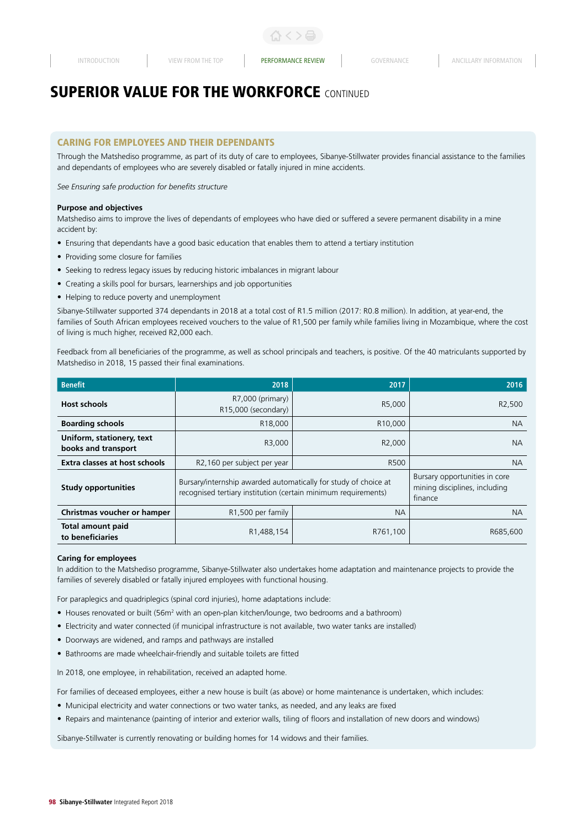# CARING FOR EMPLOYEES AND THEIR DEPENDANTS

Through the Matshediso programme, as part of its duty of care to employees, Sibanye-Stillwater provides financial assistance to the families and dependants of employees who are severely disabled or fatally injured in mine accidents.

*See Ensuring safe production for benefits structure*

#### **Purpose and objectives**

Matshediso aims to improve the lives of dependants of employees who have died or suffered a severe permanent disability in a mine accident by:

- Ensuring that dependants have a good basic education that enables them to attend a tertiary institution
- Providing some closure for families
- Seeking to redress legacy issues by reducing historic imbalances in migrant labour
- Creating a skills pool for bursars, learnerships and job opportunities
- Helping to reduce poverty and unemployment

Sibanye-Stillwater supported 374 dependants in 2018 at a total cost of R1.5 million (2017: R0.8 million). In addition, at year-end, the families of South African employees received vouchers to the value of R1,500 per family while families living in Mozambique, where the cost of living is much higher, received R2,000 each.

Feedback from all beneficiaries of the programme, as well as school principals and teachers, is positive. Of the 40 matriculants supported by Matshediso in 2018, 15 passed their final examinations.

| <b>Benefit</b>                                   | 2018                                                                                                                              | 2017                                                                      | 2016                |
|--------------------------------------------------|-----------------------------------------------------------------------------------------------------------------------------------|---------------------------------------------------------------------------|---------------------|
| <b>Host schools</b>                              | R7,000 (primary)<br>R15,000 (secondary)                                                                                           | R5.000                                                                    | R <sub>2</sub> ,500 |
| <b>Boarding schools</b>                          | R18,000                                                                                                                           | <b>NA</b>                                                                 |                     |
| Uniform, stationery, text<br>books and transport | R3,000                                                                                                                            | R <sub>2</sub> .000                                                       | NA.                 |
| Extra classes at host schools                    | R2,160 per subject per year                                                                                                       | R500                                                                      | NA.                 |
| <b>Study opportunities</b>                       | Bursary/internship awarded automatically for study of choice at<br>recognised tertiary institution (certain minimum requirements) | Bursary opportunities in core<br>mining disciplines, including<br>finance |                     |
| Christmas voucher or hamper                      | R1,500 per family                                                                                                                 | <b>NA</b>                                                                 |                     |
| <b>Total amount paid</b><br>to beneficiaries     | R1,488,154                                                                                                                        | R761,100                                                                  | R685,600            |

#### **Caring for employees**

In addition to the Matshediso programme, Sibanye-Stillwater also undertakes home adaptation and maintenance projects to provide the families of severely disabled or fatally injured employees with functional housing.

For paraplegics and quadriplegics (spinal cord injuries), home adaptations include:

- Houses renovated or built (56m<sup>2</sup> with an open-plan kitchen/lounge, two bedrooms and a bathroom)
- Electricity and water connected (if municipal infrastructure is not available, two water tanks are installed)
- Doorways are widened, and ramps and pathways are installed
- Bathrooms are made wheelchair-friendly and suitable toilets are fitted

In 2018, one employee, in rehabilitation, received an adapted home.

For families of deceased employees, either a new house is built (as above) or home maintenance is undertaken, which includes:

- Municipal electricity and water connections or two water tanks, as needed, and any leaks are fixed
- Repairs and maintenance (painting of interior and exterior walls, tiling of floors and installation of new doors and windows)

Sibanye-Stillwater is currently renovating or building homes for 14 widows and their families.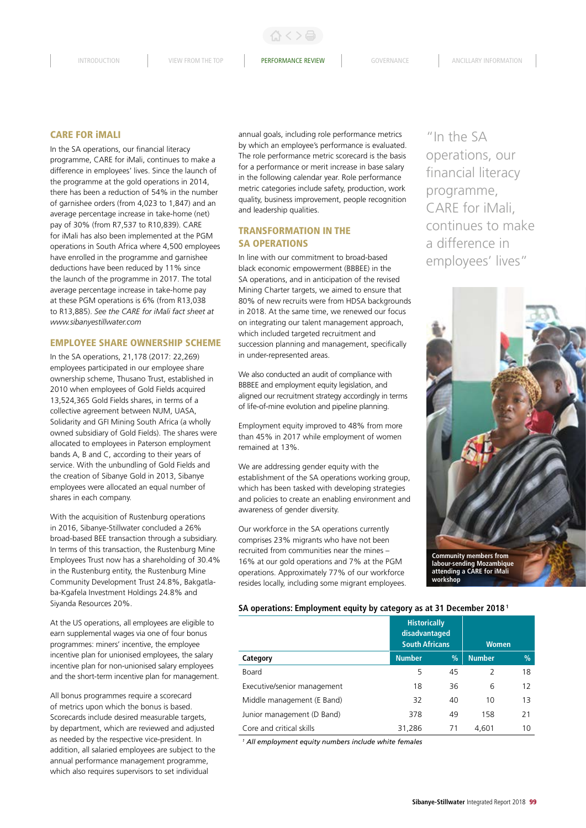### CARE FOR iMALI

In the SA operations, our financial literacy programme, CARE for iMali, continues to make a difference in employees' lives. Since the launch of the programme at the gold operations in 2014, there has been a reduction of 54% in the number of garnishee orders (from 4,023 to 1,847) and an average percentage increase in take-home (net) pay of 30% (from R7,537 to R10,839). CARE for iMali has also been implemented at the PGM operations in South Africa where 4,500 employees have enrolled in the programme and garnishee deductions have been reduced by 11% since the launch of the programme in 2017. The total average percentage increase in take-home pay at these PGM operations is 6% (from R13,038 to R13,885). *See the CARE for iMali fact sheet at www.sibanyestillwater.com* 

#### EMPLOYEE SHARE OWNERSHIP SCHEME

In the SA operations, 21,178 (2017: 22,269) employees participated in our employee share ownership scheme, Thusano Trust, established in 2010 when employees of Gold Fields acquired 13,524,365 Gold Fields shares, in terms of a collective agreement between NUM, UASA, Solidarity and GFI Mining South Africa (a wholly owned subsidiary of Gold Fields). The shares were allocated to employees in Paterson employment bands A, B and C, according to their years of service. With the unbundling of Gold Fields and the creation of Sibanye Gold in 2013, Sibanye employees were allocated an equal number of shares in each company.

With the acquisition of Rustenburg operations in 2016, Sibanye-Stillwater concluded a 26% broad-based BEE transaction through a subsidiary. In terms of this transaction, the Rustenburg Mine Employees Trust now has a shareholding of 30.4% in the Rustenburg entity, the Rustenburg Mine Community Development Trust 24.8%, Bakgatlaba-Kgafela Investment Holdings 24.8% and Siyanda Resources 20%.

At the US operations, all employees are eligible to earn supplemental wages via one of four bonus programmes: miners' incentive, the employee incentive plan for unionised employees, the salary incentive plan for non-unionised salary employees and the short-term incentive plan for management.

All bonus programmes require a scorecard of metrics upon which the bonus is based. Scorecards include desired measurable targets, by department, which are reviewed and adjusted as needed by the respective vice-president. In addition, all salaried employees are subject to the annual performance management programme, which also requires supervisors to set individual

annual goals, including role performance metrics by which an employee's performance is evaluated. The role performance metric scorecard is the basis for a performance or merit increase in base salary in the following calendar year. Role performance metric categories include safety, production, work quality, business improvement, people recognition and leadership qualities.

# TRANSFORMATION IN THE SA OPERATIONS

In line with our commitment to broad-based black economic empowerment (BBBEE) in the SA operations, and in anticipation of the revised Mining Charter targets, we aimed to ensure that 80% of new recruits were from HDSA backgrounds in 2018. At the same time, we renewed our focus on integrating our talent management approach, which included targeted recruitment and succession planning and management, specifically in under-represented areas.

We also conducted an audit of compliance with BBBEE and employment equity legislation, and aligned our recruitment strategy accordingly in terms of life-of-mine evolution and pipeline planning.

Employment equity improved to 48% from more than 45% in 2017 while employment of women remained at 13%.

We are addressing gender equity with the establishment of the SA operations working group, which has been tasked with developing strategies and policies to create an enabling environment and awareness of gender diversity.

Our workforce in the SA operations currently comprises 23% migrants who have not been recruited from communities near the mines – 16% at our gold operations and 7% at the PGM operations. Approximately 77% of our workforce resides locally, including some migrant employees.

"In the SA operations, our financial literacy programme, CARE for iMali, continues to make a difference in employees' lives"



**attending a CARE for iMali workshop**

#### **SA operations: Employment equity by category as at 31 December 2018 1**

|                             | <b>Historically</b><br>disadvantaged<br><b>South Africans</b> |      | <b>Women</b>  |               |  |
|-----------------------------|---------------------------------------------------------------|------|---------------|---------------|--|
| Category                    | <b>Number</b>                                                 | $\%$ | <b>Number</b> | $\frac{9}{6}$ |  |
| Board                       | 5                                                             | 45   | 2             | 18            |  |
| Executive/senior management | 18                                                            | 36   | 6             | 12            |  |
| Middle management (E Band)  | 32                                                            | 40   | 10            | 13            |  |
| Junior management (D Band)  | 378                                                           | 49   | 158           | 21            |  |
| Core and critical skills    | 31,286                                                        | 71   | 4,601         | 10            |  |

*1 All employment equity numbers include white females*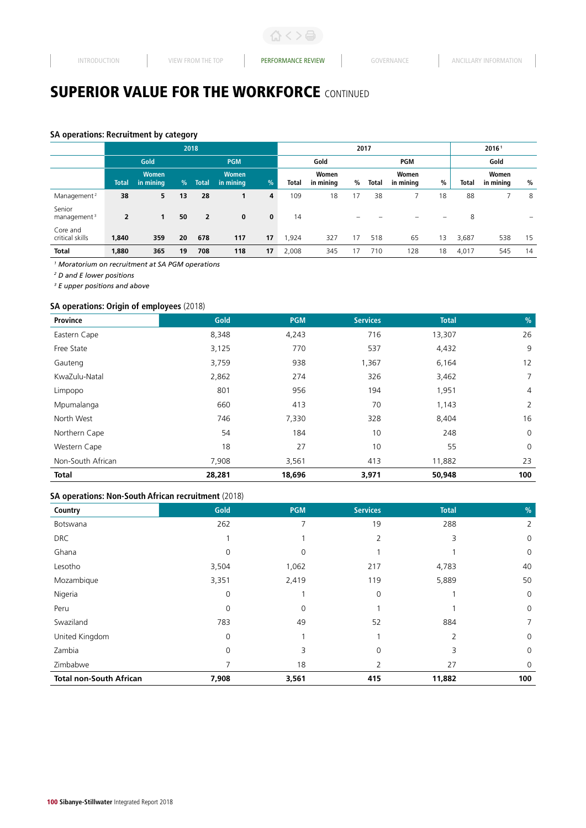# **SA operations: Recruitment by category**

|                                   | 2018           |                           |            |                |                           | 2017         |       |                    |    | 20161        |                    |    |       |                    |    |
|-----------------------------------|----------------|---------------------------|------------|----------------|---------------------------|--------------|-------|--------------------|----|--------------|--------------------|----|-------|--------------------|----|
|                                   |                | Gold                      | <b>PGM</b> |                |                           |              | Gold  |                    |    | Gold<br>PGM  |                    |    |       |                    |    |
|                                   | <b>Total</b>   | <b>Women</b><br>in mining | $\%$       | <b>Total</b>   | <b>Women</b><br>in mining | %            | Total | Women<br>in mining | %  | <b>Total</b> | Women<br>in mining | %  | Total | Women<br>in mining | %  |
| Management <sup>2</sup>           | 38             | 5                         | 13         | 28             |                           | 4            | 109   | 18                 | 17 | 38           |                    | 18 | 88    |                    | 8  |
| Senior<br>management <sup>3</sup> | $\overline{2}$ | 1                         | 50         | $\overline{2}$ | $\mathbf 0$               | $\mathbf{0}$ | 14    |                    | -  |              |                    | -  | 8     |                    |    |
| Core and<br>critical skills       | 1,840          | 359                       | 20         | 678            | 117                       | 17           | ,924  | 327                | 17 | 518          | 65                 | 13 | 3,687 | 538                | 15 |
| <b>Total</b>                      | 1,880          | 365                       | 19         | 708            | 118                       | 17           | 2,008 | 345                | 17 | 710          | 128                | 18 | 4,017 | 545                | 14 |

*1 Moratorium on recruitment at SA PGM operations* 

*2 D and E lower positions*

*3 E upper positions and above*

# **SA operations: Origin of employees** (2018)

| Province          | Gold   | <b>PGM</b> | <b>Services</b> | <b>Total</b> | $\frac{9}{6}$ |
|-------------------|--------|------------|-----------------|--------------|---------------|
| Eastern Cape      | 8,348  | 4,243      | 716             | 13,307       | 26            |
| Free State        | 3,125  | 770        | 537             | 4,432        | 9             |
| Gauteng           | 3,759  | 938        | 1,367           | 6,164        | 12            |
| KwaZulu-Natal     | 2,862  | 274        | 326             | 3,462        | 7             |
| Limpopo           | 801    | 956        | 194             | 1,951        | 4             |
| Mpumalanga        | 660    | 413        | 70              | 1,143        | 2             |
| North West        | 746    | 7,330      | 328             | 8,404        | 16            |
| Northern Cape     | 54     | 184        | 10              | 248          | $\mathbf 0$   |
| Western Cape      | 18     | 27         | 10              | 55           | $\mathbf 0$   |
| Non-South African | 7,908  | 3,561      | 413             | 11,882       | 23            |
| <b>Total</b>      | 28,281 | 18,696     | 3,971           | 50,948       | 100           |

# **SA operations: Non-South African recruitment** (2018)

| Country                        | Gold        | <b>PGM</b>  | <b>Services</b> | <b>Total</b> | $\frac{0}{0}$ |
|--------------------------------|-------------|-------------|-----------------|--------------|---------------|
| Botswana                       | 262         | ᄀ           | 19              | 288          | 2             |
| <b>DRC</b>                     |             |             | $\overline{2}$  | 3            | 0             |
| Ghana                          | 0           | 0           |                 |              | $\mathbf 0$   |
| Lesotho                        | 3,504       | 1,062       | 217             | 4,783        | 40            |
| Mozambique                     | 3,351       | 2,419       | 119             | 5,889        | 50            |
| Nigeria                        | $\mathbf 0$ |             | 0               |              | $\mathbf 0$   |
| Peru                           | $\mathbf 0$ | $\mathbf 0$ |                 |              | $\mathbf 0$   |
| Swaziland                      | 783         | 49          | 52              | 884          | 7             |
| United Kingdom                 | 0           |             |                 | 2            | $\mathbf 0$   |
| Zambia                         | 0           | 3           | 0               | 3            | $\mathbf 0$   |
| Zimbabwe                       |             | 18          | 2               | 27           | $\mathbf 0$   |
| <b>Total non-South African</b> | 7,908       | 3,561       | 415             | 11,882       | 100           |